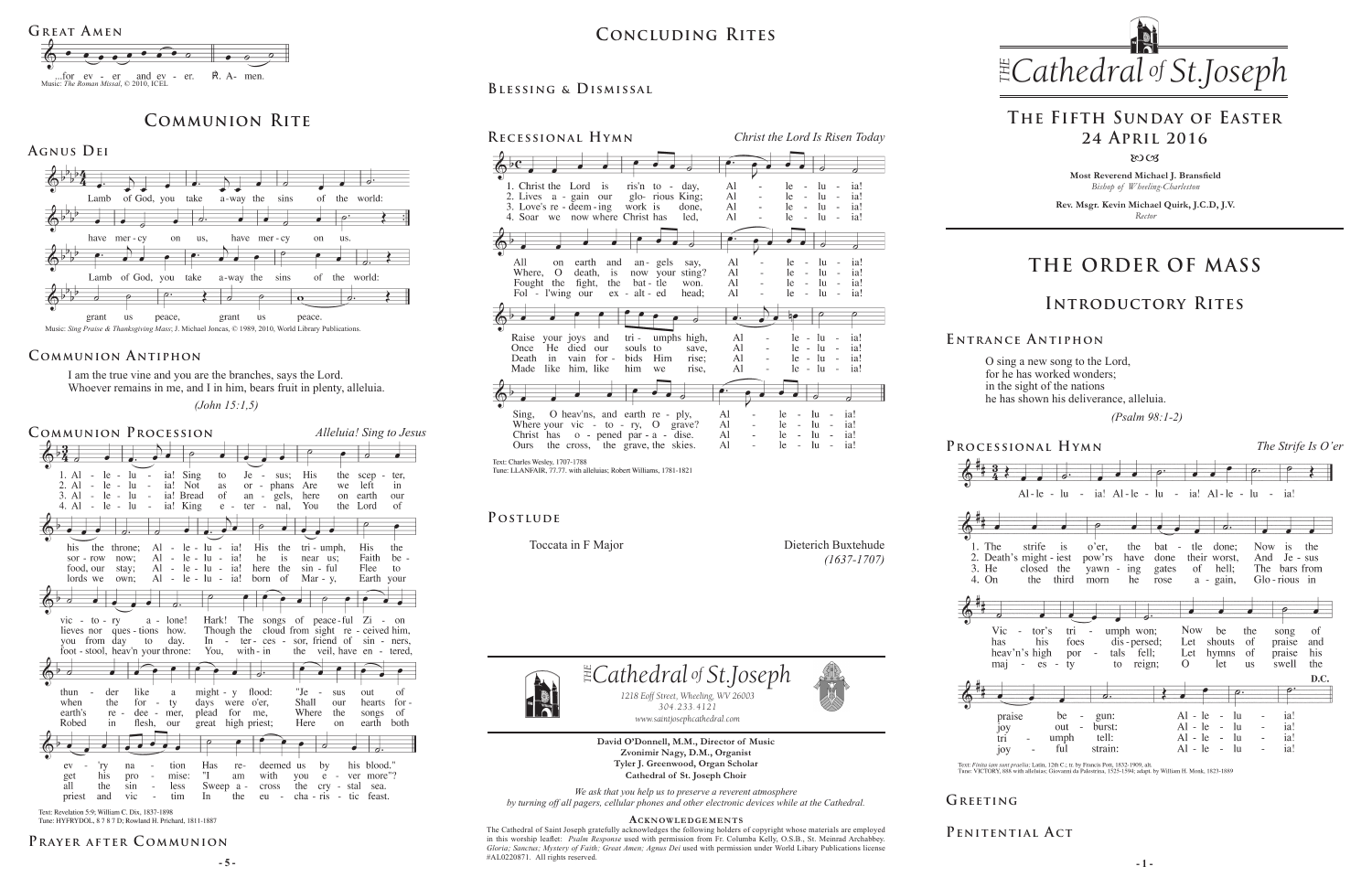**Most Reverend Michael J. Bransfield** *Bishop of Wheeling-Charleston*

**Rev. Msgr. Kevin Michael Quirk, J.C.D, J.V.** *Rector*



O sing a new song to the Lord, for he has worked wonders; in the sight of the nations he has shown his deliverance, alleluia.

 *(Psalm 98:1-2)* 

Text: Finita iam sunt praelia; Latin, 12th C.; tr. by Francis Pott, 1832-1909, alt.<br>Tune: VICTORY, 888 with alleluias; Giovanni da Palestrina, 1525-1594; adapt. by William H. Monk, 1823-1889

#### PENITENTIAL ACT

**David O'Donnell, M.M., Director of Music Zvonimir Nagy, D.M., Organist Tyler J. Greenwood, Organ Scholar Cathedral of St. Joseph Choir** *We ask that you help us to preserve a reverent atmosphere*

**- 5 - - 1 -** The Cathedral of Saint Joseph gratefully acknowledges the following holders of copyright whose materials are employed in this worship leaflet: *Psalm Response* used with permission from Fr. Columba Kelly, O.S.B., St. Meinrad Archabbey. *Gloria; Sanctus; Mystery of Faith; Great Amen; Agnus Dei* used with permission under World Libary Publications license #AL0220871.All rights reserved.

#### *by turning off all pagers, cellular phones and other electronic devices while at the Cathedral.* **Acknowledgement s**



*1218 Eoff Street, Wheeling, WV 26003 304.233.4121 304.233.4121*

 $\exists$  *Cathedral* of *St.Joseph* 

*www.saintjosephcathedral.com www.saintjosephcathedral.com*

I am the true vine and you are the branches, says the Lord. Whoever remains in me, and I in him, bears fruit in plenty, alleluia.

# *Cathedral St THE of .Joseph* **Concluding Rites**

 *(John 15:1,5)*

# **THE ORDER OF MASS**



#### **E ntrance A ntiphon**

## **Introductory Rites**

# **The Fifth Sunday of Easter 24 April 2016**

 $80C<sub>3</sub>$ 

# **Communion Rite**





#### **Communion Antiphon**

**Prayer after C ommunion**

## **Blessing & Dismissal**



Text: Charles Wesley, 1707-1788 Tune: LLANFAIR, 77.77. with alleluias; Robert Williams, 1781-1821

### POSTLUDE



Tune: HYFRYDOL, 8 7 8 7 D; Rowland H. Prichard, 1811-1887







Toccata in F Major Dieterich Buxtehude *(1637-1707)*